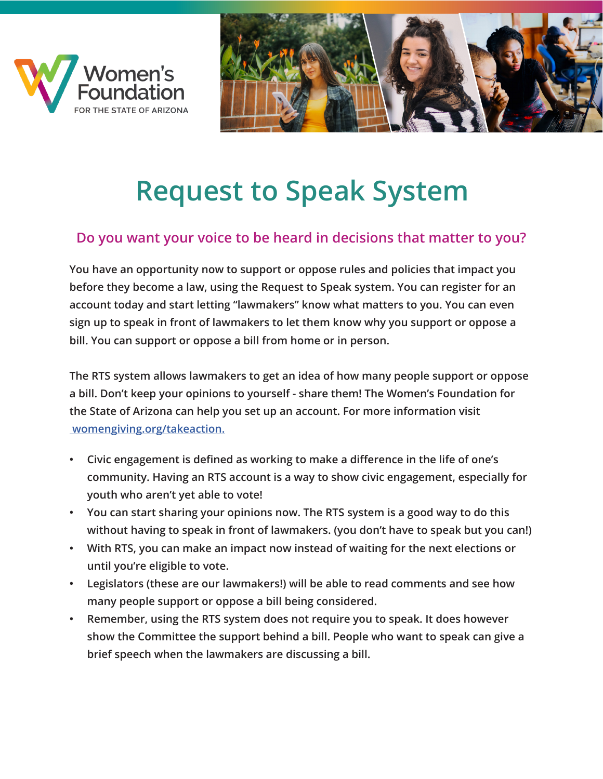



## **Request to Speak System**

#### **Do you want your voice to be heard in decisions that matter to you?**

**You have an opportunity now to support or oppose rules and policies that impact you before they become a law, using the Request to Speak system. You can register for an account today and start letting "lawmakers" know what matters to you. You can even sign up to speak in front of lawmakers to let them know why you support or oppose a bill. You can support or oppose a bill from home or in person.** 

**The RTS system allows lawmakers to get an idea of how many people support or oppose a bill. Don't keep your opinions to yourself - share them! The Women's Foundation for the State of Arizona can help you set up an account. For more information visit womengiving.org/takeaction.**

- **• Civic engagement is defined as working to make a difference in the life of one's community. Having an RTS account is a way to show civic engagement, especially for youth who aren't yet able to vote!**
- **• You can start sharing your opinions now. The RTS system is a good way to do this without having to speak in front of lawmakers. (you don't have to speak but you can!)**
- **• With RTS, you can make an impact now instead of waiting for the next elections or until you're eligible to vote.**
- **• Legislators (these are our lawmakers!) will be able to read comments and see how many people support or oppose a bill being considered.**
- **• Remember, using the RTS system does not require you to speak. It does however show the Committee the support behind a bill. People who want to speak can give a brief speech when the lawmakers are discussing a bill.**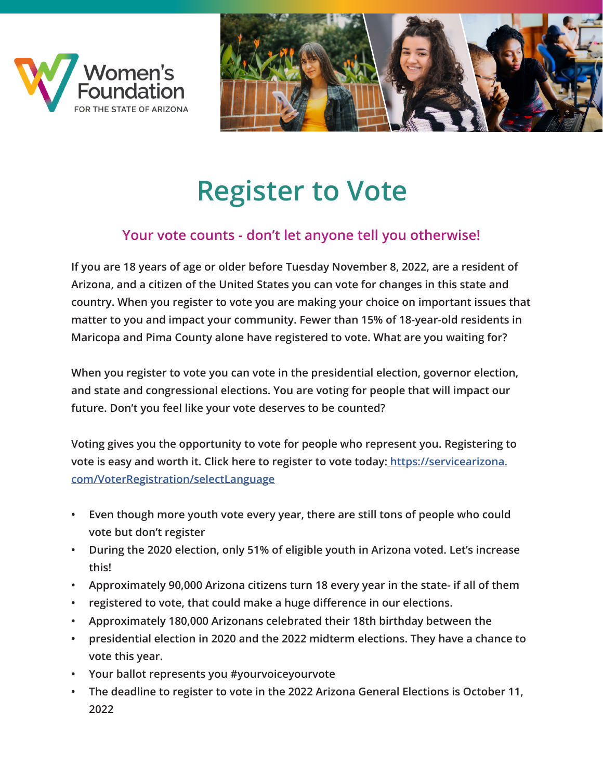



### **Register to Vote**

### **Your vote counts - don't let anyone tell you otherwise!**

**If you are 18 years of age or older before Tuesday November 8, 2022, are a resident of Arizona, and a citizen of the United States you can vote for changes in this state and country. When you register to vote you are making your choice on important issues that matter to you and impact your community. Fewer than 15% of 18-year-old residents in Maricopa and Pima County alone have registered to vote. What are you waiting for?** 

**When you register to vote you can vote in the presidential election, governor election, and state and congressional elections. You are voting for people that will impact our future. Don't you feel like your vote deserves to be counted?** 

**Voting gives you the opportunity to vote for people who represent you. Registering to vote is easy and worth it. Click here to register to vote today: https://servicearizona. com/VoterRegistration/selectLanguage**

- **• Even though more youth vote every year, there are still tons of people who could vote but don't register**
- **• During the 2020 election, only 51% of eligible youth in Arizona voted. Let's increase this!**
- **• Approximately 90,000 Arizona citizens turn 18 every year in the state- if all of them**
- **• registered to vote, that could make a huge difference in our elections.**
- **• Approximately 180,000 Arizonans celebrated their 18th birthday between the**
- **• presidential election in 2020 and the 2022 midterm elections. They have a chance to vote this year.**
- **• Your ballot represents you #yourvoiceyourvote**
- **• The deadline to register to vote in the 2022 Arizona General Elections is October 11, 2022**